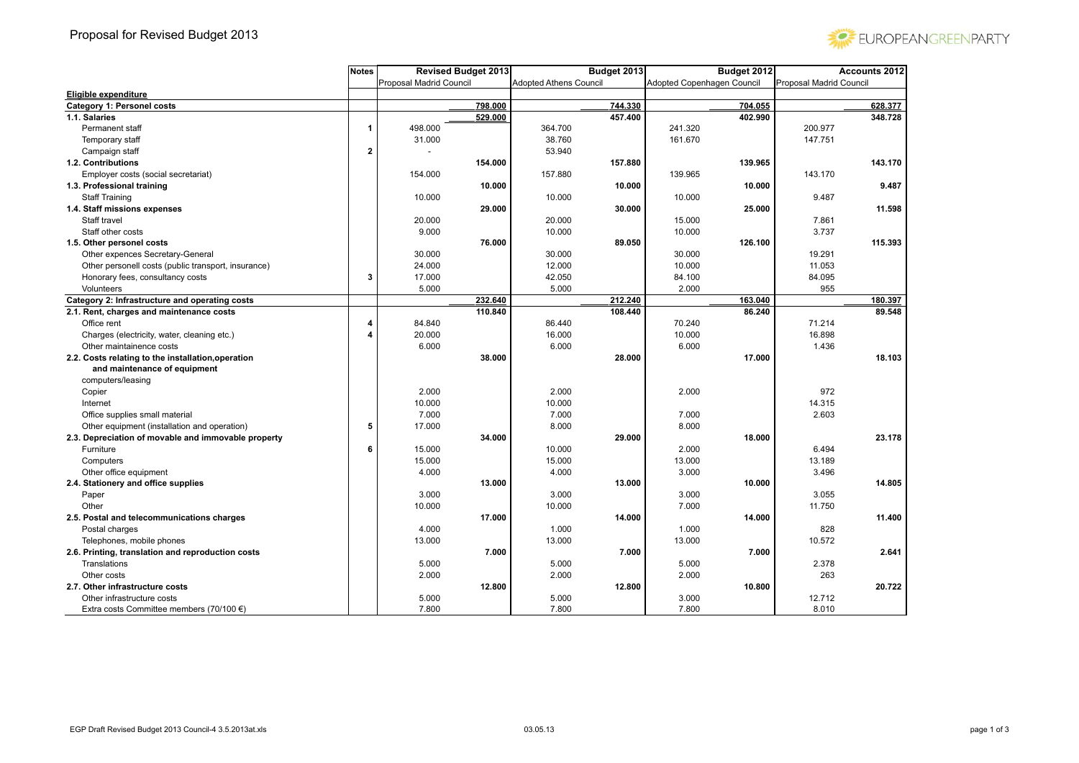

|                                                     | Notes | <b>Revised Budget 2013</b> |         | Budget 2013                   |         | Budget 2012                |         | <b>Accounts 2012</b>    |         |
|-----------------------------------------------------|-------|----------------------------|---------|-------------------------------|---------|----------------------------|---------|-------------------------|---------|
|                                                     |       | Proposal Madrid Council    |         | <b>Adopted Athens Council</b> |         | Adopted Copenhagen Council |         | Proposal Madrid Council |         |
| Eligible expenditure                                |       |                            |         |                               |         |                            |         |                         |         |
| <b>Category 1: Personel costs</b>                   |       |                            | 798.000 |                               | 744.330 |                            | 704.055 |                         | 628.377 |
| 1.1. Salaries                                       |       |                            | 529.000 |                               | 457.400 |                            | 402.990 |                         | 348.728 |
| Permanent staff                                     | 1     | 498.000                    |         | 364.700                       |         | 241.320                    |         | 200.977                 |         |
| Temporary staff                                     |       | 31.000                     |         | 38.760                        |         | 161.670                    |         | 147.751                 |         |
| Campaign staff                                      | 2     |                            |         | 53.940                        |         |                            |         |                         |         |
| 1.2. Contributions                                  |       |                            | 154.000 |                               | 157.880 |                            | 139.965 |                         | 143.170 |
| Employer costs (social secretariat)                 |       | 154.000                    |         | 157.880                       |         | 139.965                    |         | 143.170                 |         |
| 1.3. Professional training                          |       |                            | 10.000  |                               | 10.000  |                            | 10.000  |                         | 9.487   |
| <b>Staff Training</b>                               |       | 10.000                     |         | 10.000                        |         | 10.000                     |         | 9.487                   |         |
| 1.4. Staff missions expenses                        |       |                            | 29.000  |                               | 30.000  |                            | 25.000  |                         | 11.598  |
| Staff travel                                        |       | 20.000                     |         | 20.000                        |         | 15.000                     |         | 7.861                   |         |
| Staff other costs                                   |       | 9.000                      |         | 10.000                        |         | 10.000                     |         | 3.737                   |         |
| 1.5. Other personel costs                           |       |                            | 76.000  |                               | 89.050  |                            | 126.100 |                         | 115.393 |
| Other expences Secretary-General                    |       | 30.000                     |         | 30.000                        |         | 30.000                     |         | 19.291                  |         |
| Other personell costs (public transport, insurance) |       | 24.000                     |         | 12.000                        |         | 10.000                     |         | 11.053                  |         |
| Honorary fees, consultancy costs                    | 3     | 17.000                     |         | 42.050                        |         | 84.100                     |         | 84.095                  |         |
| Volunteers                                          |       | 5.000                      |         | 5.000                         |         | 2.000                      |         | 955                     |         |
| Category 2: Infrastructure and operating costs      |       |                            | 232.640 |                               | 212.240 |                            | 163.040 |                         | 180.397 |
| 2.1. Rent, charges and maintenance costs            |       |                            | 110.840 |                               | 108.440 |                            | 86.240  |                         | 89.548  |
| Office rent                                         | 4     | 84.840                     |         | 86.440                        |         | 70.240                     |         | 71.214                  |         |
| Charges (electricity, water, cleaning etc.)         | 4     | 20.000                     |         | 16.000                        |         | 10.000                     |         | 16.898                  |         |
| Other maintainence costs                            |       | 6.000                      |         | 6.000                         |         | 6.000                      |         | 1.436                   |         |
| 2.2. Costs relating to the installation, operation  |       |                            | 38.000  |                               | 28.000  |                            | 17.000  |                         | 18.103  |
| and maintenance of equipment                        |       |                            |         |                               |         |                            |         |                         |         |
| computers/leasing                                   |       |                            |         |                               |         |                            |         |                         |         |
| Copier                                              |       | 2.000                      |         | 2.000                         |         | 2.000                      |         | 972                     |         |
| Internet                                            |       | 10.000                     |         | 10.000                        |         |                            |         | 14.315                  |         |
| Office supplies small material                      |       | 7.000                      |         | 7.000                         |         | 7.000                      |         | 2.603                   |         |
| Other equipment (installation and operation)        | 5     | 17.000                     |         | 8.000                         |         | 8.000                      |         |                         |         |
| 2.3. Depreciation of movable and immovable property |       |                            | 34.000  |                               | 29.000  |                            | 18.000  |                         | 23.178  |
| Furniture                                           | 6     | 15.000                     |         | 10.000                        |         | 2.000                      |         | 6.494                   |         |
| Computers                                           |       | 15.000                     |         | 15.000                        |         | 13.000                     |         | 13.189                  |         |
| Other office equipment                              |       | 4.000                      |         | 4.000                         |         | 3.000                      |         | 3.496                   |         |
| 2.4. Stationery and office supplies                 |       |                            | 13.000  |                               | 13.000  |                            | 10.000  |                         | 14.805  |
| Paper                                               |       | 3.000                      |         | 3.000                         |         | 3.000                      |         | 3.055                   |         |
| Other                                               |       | 10.000                     |         | 10.000                        |         | 7.000                      |         | 11.750                  |         |
| 2.5. Postal and telecommunications charges          |       |                            | 17.000  |                               | 14.000  |                            | 14.000  |                         | 11.400  |
| Postal charges                                      |       | 4.000                      |         | 1.000                         |         | 1.000                      |         | 828                     |         |
| Telephones, mobile phones                           |       | 13.000                     |         | 13.000                        |         | 13.000                     |         | 10.572                  |         |
| 2.6. Printing, translation and reproduction costs   |       |                            | 7.000   |                               | 7.000   |                            | 7.000   |                         | 2.641   |
| Translations                                        |       | 5.000                      |         | 5.000                         |         | 5.000                      |         | 2.378                   |         |
| Other costs                                         |       | 2.000                      |         | 2.000                         |         | 2.000                      |         | 263                     |         |
| 2.7. Other infrastructure costs                     |       |                            | 12.800  |                               | 12.800  |                            | 10.800  |                         | 20.722  |
| Other infrastructure costs                          |       | 5.000                      |         | 5.000                         |         | 3.000                      |         | 12.712                  |         |
| Extra costs Committee members (70/100 €)            |       | 7.800                      |         | 7.800                         |         | 7.800                      |         | 8.010                   |         |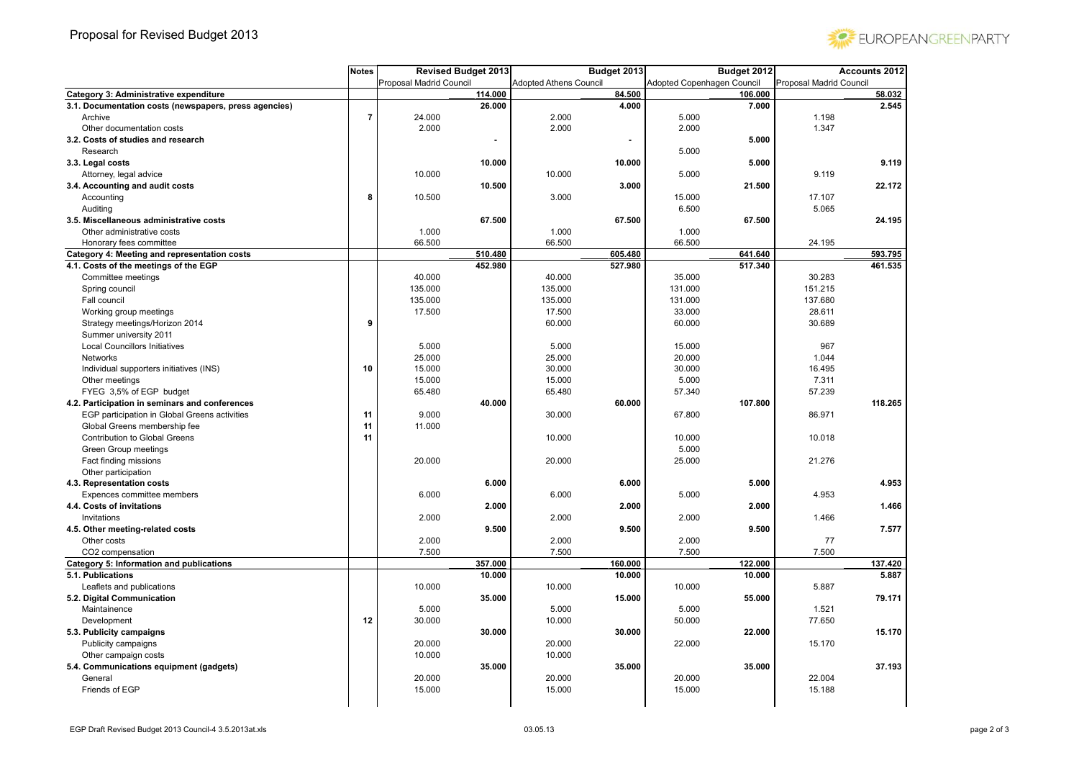

|                                                       | <b>Notes</b>   | <b>Revised Budget 2013</b> |                               | Budget 2013 |                            | Budget 2012 |                         | <b>Accounts 2012</b> |
|-------------------------------------------------------|----------------|----------------------------|-------------------------------|-------------|----------------------------|-------------|-------------------------|----------------------|
|                                                       |                | Proposal Madrid Council    | <b>Adopted Athens Council</b> |             | Adopted Copenhagen Council |             | Proposal Madrid Council |                      |
| Category 3: Administrative expenditure                |                | 114.000                    |                               | 84.500      |                            | 106.000     |                         | 58.032               |
| 3.1. Documentation costs (newspapers, press agencies) |                | 26.000                     |                               | 4.000       |                            | 7.000       |                         | 2.545                |
| Archive                                               | $\overline{7}$ | 24.000                     | 2.000                         |             | 5.000                      |             | 1.198                   |                      |
| Other documentation costs                             |                | 2.000                      | 2.000                         |             | 2.000                      |             | 1.347                   |                      |
| 3.2. Costs of studies and research                    |                |                            |                               |             |                            | 5.000       |                         |                      |
| Research                                              |                |                            |                               |             | 5.000                      |             |                         |                      |
| 3.3. Legal costs                                      |                | 10.000                     |                               | 10.000      |                            | 5.000       |                         | 9.119                |
| Attorney, legal advice                                |                | 10.000                     | 10.000                        |             | 5.000                      |             | 9.119                   |                      |
| 3.4. Accounting and audit costs                       |                | 10.500                     |                               | 3.000       |                            | 21.500      |                         | 22.172               |
| Accounting                                            | 8              | 10.500                     | 3.000                         |             | 15.000                     |             | 17.107                  |                      |
| Auditing                                              |                |                            |                               |             | 6.500                      |             | 5.065                   |                      |
| 3.5. Miscellaneous administrative costs               |                | 67.500                     |                               | 67.500      |                            | 67.500      |                         | 24.195               |
| Other administrative costs                            |                | 1.000                      | 1.000                         |             | 1.000                      |             |                         |                      |
| Honorary fees committee                               |                | 66.500                     | 66.500                        |             | 66.500                     |             | 24.195                  |                      |
| Category 4: Meeting and representation costs          |                | 510.480                    |                               | 605.480     |                            | 641.640     |                         | 593.795              |
| 4.1. Costs of the meetings of the EGP                 |                | 452.980                    |                               | 527.980     |                            | 517.340     |                         | 461.535              |
| Committee meetings                                    |                | 40.000                     | 40.000                        |             | 35.000                     |             | 30.283                  |                      |
| Spring council                                        |                | 135.000                    | 135.000                       |             | 131.000                    |             | 151.215                 |                      |
| Fall council                                          |                | 135.000                    | 135.000                       |             | 131.000                    |             | 137.680                 |                      |
| Working group meetings                                |                | 17.500                     | 17.500                        |             | 33.000                     |             | 28.611                  |                      |
| Strategy meetings/Horizon 2014                        | 9              |                            | 60.000                        |             | 60.000                     |             | 30.689                  |                      |
| Summer university 2011                                |                |                            |                               |             |                            |             |                         |                      |
| <b>Local Councillors Initiatives</b>                  |                | 5.000                      | 5.000                         |             | 15.000                     |             | 967                     |                      |
| Networks                                              |                | 25.000                     | 25.000                        |             | 20.000                     |             | 1.044                   |                      |
| Individual supporters initiatives (INS)               | 10             | 15.000                     | 30.000                        |             | 30.000                     |             | 16.495                  |                      |
| Other meetings                                        |                | 15.000                     | 15.000                        |             | 5.000                      |             | 7.311                   |                      |
| FYEG 3,5% of EGP budget                               |                | 65.480                     | 65.480                        |             | 57.340                     |             | 57.239                  |                      |
| 4.2. Participation in seminars and conferences        |                | 40.000                     |                               | 60.000      |                            | 107.800     |                         | 118.265              |
| EGP participation in Global Greens activities         | 11             | 9.000                      | 30.000                        |             | 67.800                     |             | 86.971                  |                      |
| Global Greens membership fee                          | 11             | 11.000                     |                               |             |                            |             |                         |                      |
| Contribution to Global Greens                         | 11             |                            | 10.000                        |             | 10.000                     |             | 10.018                  |                      |
| Green Group meetings                                  |                |                            |                               |             | 5.000                      |             |                         |                      |
| Fact finding missions                                 |                | 20.000                     | 20.000                        |             | 25.000                     |             | 21.276                  |                      |
| Other participation                                   |                |                            |                               |             |                            |             |                         |                      |
| 4.3. Representation costs                             |                | 6.000                      |                               | 6.000       |                            | 5.000       |                         | 4.953                |
| Expences committee members                            |                | 6.000                      | 6.000                         |             | 5.000                      |             | 4.953                   |                      |
| 4.4. Costs of invitations                             |                | 2.000                      |                               | 2.000       |                            | 2.000       |                         | 1.466                |
| Invitations                                           |                | 2.000                      | 2.000                         |             | 2.000                      |             | 1.466                   |                      |
| 4.5. Other meeting-related costs                      |                | 9.500                      |                               | 9.500       |                            | 9.500       |                         | 7.577                |
| Other costs                                           |                | 2.000                      | 2.000                         |             | 2.000                      |             | 77                      |                      |
| CO2 compensation                                      |                | 7.500                      | 7.500                         |             | 7.500                      |             | 7.500                   |                      |
| Category 5: Information and publications              |                | 357.000                    |                               | 160.000     |                            | 122.000     |                         | 137.420              |
| 5.1. Publications                                     |                | 10.000                     |                               | 10.000      |                            | 10.000      |                         | 5.887                |
| Leaflets and publications                             |                | 10.000                     | 10.000                        |             | 10.000                     |             | 5.887                   |                      |
| 5.2. Digital Communication                            |                | 35.000                     |                               | 15.000      |                            | 55.000      |                         | 79.171               |
| Maintainence                                          |                | 5.000                      | 5.000                         |             | 5.000                      |             | 1.521                   |                      |
| Development                                           | 12             | 30.000                     | 10.000                        |             | 50.000                     |             | 77.650                  |                      |
| 5.3. Publicity campaigns                              |                | 30.000                     |                               | 30.000      |                            | 22.000      |                         | 15.170               |
| Publicity campaigns                                   |                | 20.000                     | 20.000                        |             | 22.000                     |             | 15.170                  |                      |
| Other campaign costs                                  |                | 10.000                     | 10.000                        |             |                            |             |                         |                      |
| 5.4. Communications equipment (gadgets)               |                | 35.000                     |                               | 35.000      |                            | 35.000      |                         | 37.193               |
| General                                               |                | 20.000                     | 20.000                        |             | 20.000                     |             | 22.004                  |                      |
| Friends of EGP                                        |                | 15.000                     | 15.000                        |             | 15.000                     |             | 15.188                  |                      |
|                                                       |                |                            |                               |             |                            |             |                         |                      |